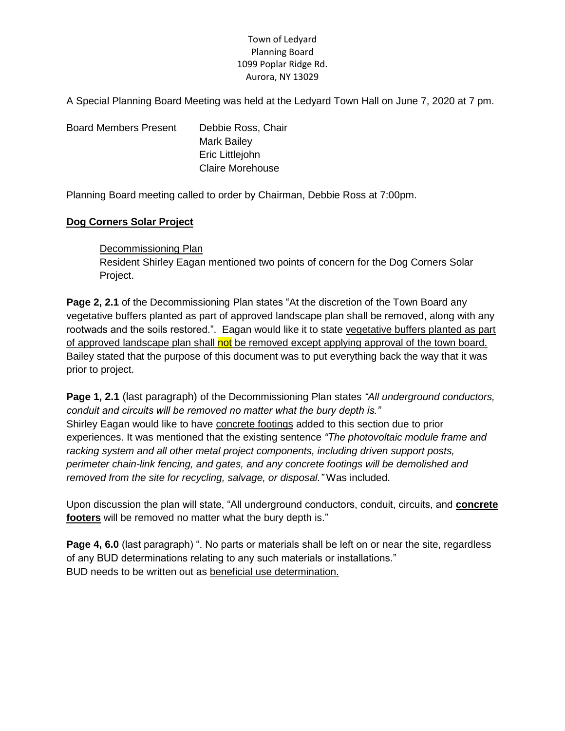# Town of Ledyard Planning Board 1099 Poplar Ridge Rd. Aurora, NY 13029

A Special Planning Board Meeting was held at the Ledyard Town Hall on June 7, 2020 at 7 pm.

Board Members Present Debbie Ross, Chair Mark Bailey Eric Littlejohn Claire Morehouse

Planning Board meeting called to order by Chairman, Debbie Ross at 7:00pm.

# **Dog Corners Solar Project**

# Decommissioning Plan Resident Shirley Eagan mentioned two points of concern for the Dog Corners Solar Project.

**Page 2, 2.1** of the Decommissioning Plan states "At the discretion of the Town Board any vegetative buffers planted as part of approved landscape plan shall be removed, along with any rootwads and the soils restored.". Eagan would like it to state vegetative buffers planted as part of approved landscape plan shall not be removed except applying approval of the town board. Bailey stated that the purpose of this document was to put everything back the way that it was prior to project.

**Page 1, 2.1** (last paragraph) of the Decommissioning Plan states *"All underground conductors, conduit and circuits will be removed no matter what the bury depth is."* Shirley Eagan would like to have concrete footings added to this section due to prior experiences. It was mentioned that the existing sentence *"The photovoltaic module frame and racking system and all other metal project components, including driven support posts, perimeter chain-link fencing, and gates, and any concrete footings will be demolished and removed from the site for recycling, salvage, or disposal."* Was included.

Upon discussion the plan will state, "All underground conductors, conduit, circuits, and **concrete footers** will be removed no matter what the bury depth is."

**Page 4, 6.0** (last paragraph) ". No parts or materials shall be left on or near the site, regardless of any BUD determinations relating to any such materials or installations." BUD needs to be written out as beneficial use determination.